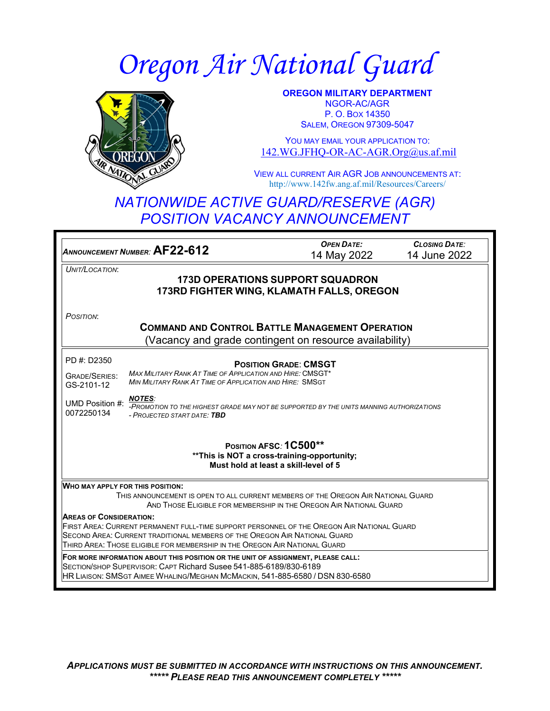# *Oregon Air National Guard*



**OREGON MILITARY DEPARTMENT** NGOR-AC/AGR P. O. BOX 14350 SALEM, OREGON 97309-5047

YOU MAY EMAIL YOUR APPLICATION TO: [142.WG.JFHQ-OR-AC-AGR.Org@us.af.mil](mailto:142.WG.JFHQ-OR-AC-AGR.Org@us.af.mil)

VIEW ALL CURRENT AIR AGR JOB ANNOUNCEMENTS AT: http://www.142fw.ang.af.mil/Resources/Careers/

## *NATIONWIDE ACTIVE GUARD/RESERVE (AGR) POSITION VACANCY ANNOUNCEMENT*

| ANNOUNCEMENT NUMBER: AF22-612                                                                                                                                                                                                                                                                                                                                                                                                                                                                                                                                                                                                                          | <b>OPEN DATE:</b><br>14 May 2022 | <b>CLOSING DATE:</b><br>14 June 2022 |
|--------------------------------------------------------------------------------------------------------------------------------------------------------------------------------------------------------------------------------------------------------------------------------------------------------------------------------------------------------------------------------------------------------------------------------------------------------------------------------------------------------------------------------------------------------------------------------------------------------------------------------------------------------|----------------------------------|--------------------------------------|
| UNIT/LOCATION:<br><b>173D OPERATIONS SUPPORT SQUADRON</b><br>173RD FIGHTER WING, KLAMATH FALLS, OREGON                                                                                                                                                                                                                                                                                                                                                                                                                                                                                                                                                 |                                  |                                      |
| POSITION:<br><b>COMMAND AND CONTROL BATTLE MANAGEMENT OPERATION</b><br>(Vacancy and grade contingent on resource availability)                                                                                                                                                                                                                                                                                                                                                                                                                                                                                                                         |                                  |                                      |
| PD #: D2350<br><b>POSITION GRADE: CMSGT</b><br><b>MAX MILITARY RANK AT TIME OF APPLICATION AND HIRE: CMSGT*</b><br><b>GRADE/SERIES:</b><br>MIN MILITARY RANK AT TIME OF APPLICATION AND HIRE: SMSGT<br>GS-2101-12<br><b>NOTES:</b><br>UMD Position #:<br>-PROMOTION TO THE HIGHEST GRADE MAY NOT BE SUPPORTED BY THE UNITS MANNING AUTHORIZATIONS<br>0072250134<br>- PROJECTED START DATE: TBD                                                                                                                                                                                                                                                         |                                  |                                      |
| POSITION AFSC: 1C500**<br>** This is NOT a cross-training-opportunity;<br>Must hold at least a skill-level of 5                                                                                                                                                                                                                                                                                                                                                                                                                                                                                                                                        |                                  |                                      |
| <b>WHO MAY APPLY FOR THIS POSITION:</b><br>THIS ANNOUNCEMENT IS OPEN TO ALL CURRENT MEMBERS OF THE OREGON AIR NATIONAL GUARD<br>AND THOSE ELIGIBLE FOR MEMBERSHIP IN THE OREGON AIR NATIONAL GUARD<br><b>AREAS OF CONSIDERATION:</b><br>FIRST AREA: CURRENT PERMANENT FULL-TIME SUPPORT PERSONNEL OF THE OREGON AIR NATIONAL GUARD<br>SECOND AREA: CURRENT TRADITIONAL MEMBERS OF THE OREGON AIR NATIONAL GUARD<br>THIRD AREA: THOSE ELIGIBLE FOR MEMBERSHIP IN THE OREGON AIR NATIONAL GUARD<br>FOR MORE INFORMATION ABOUT THIS POSITION OR THE UNIT OF ASSIGNMENT, PLEASE CALL:<br>SECTION/SHOP SUPERVISOR: CAPT Richard Susee 541-885-6189/830-6189 |                                  |                                      |
| HR LIAISON: SMSGT AIMEE WHALING/MEGHAN MCMACKIN, 541-885-6580 / DSN 830-6580                                                                                                                                                                                                                                                                                                                                                                                                                                                                                                                                                                           |                                  |                                      |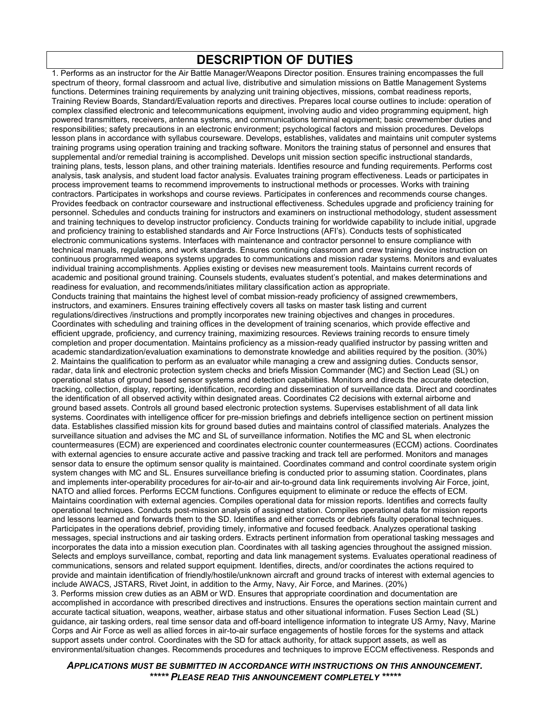#### **DESCRIPTION OF DUTIES**

1. Performs as an instructor for the Air Battle Manager/Weapons Director position. Ensures training encompasses the full spectrum of theory, formal classroom and actual live, distributive and simulation missions on Battle Management Systems functions. Determines training requirements by analyzing unit training objectives, missions, combat readiness reports, Training Review Boards, Standard/Evaluation reports and directives. Prepares local course outlines to include: operation of complex classified electronic and telecommunications equipment, involving audio and video programming equipment, high powered transmitters, receivers, antenna systems, and communications terminal equipment; basic crewmember duties and responsibilities; safety precautions in an electronic environment; psychological factors and mission procedures. Develops lesson plans in accordance with syllabus courseware. Develops, establishes, validates and maintains unit computer systems training programs using operation training and tracking software. Monitors the training status of personnel and ensures that supplemental and/or remedial training is accomplished. Develops unit mission section specific instructional standards, training plans, tests, lesson plans, and other training materials. Identifies resource and funding requirements. Performs cost analysis, task analysis, and student load factor analysis. Evaluates training program effectiveness. Leads or participates in process improvement teams to recommend improvements to instructional methods or processes. Works with training contractors. Participates in workshops and course reviews. Participates in conferences and recommends course changes. Provides feedback on contractor courseware and instructional effectiveness. Schedules upgrade and proficiency training for personnel. Schedules and conducts training for instructors and examiners on instructional methodology, student assessment and training techniques to develop instructor proficiency. Conducts training for worldwide capability to include initial, upgrade and proficiency training to established standards and Air Force Instructions (AFI's). Conducts tests of sophisticated electronic communications systems. Interfaces with maintenance and contractor personnel to ensure compliance with technical manuals, regulations, and work standards. Ensures continuing classroom and crew training device instruction on continuous programmed weapons systems upgrades to communications and mission radar systems. Monitors and evaluates individual training accomplishments. Applies existing or devises new measurement tools. Maintains current records of academic and positional ground training. Counsels students, evaluates student's potential, and makes determinations and readiness for evaluation, and recommends/initiates military classification action as appropriate. Conducts training that maintains the highest level of combat mission-ready proficiency of assigned crewmembers, instructors, and examiners. Ensures training effectively covers all tasks on master task listing and current regulations/directives /instructions and promptly incorporates new training objectives and changes in procedures. Coordinates with scheduling and training offices in the development of training scenarios, which provide effective and efficient upgrade, proficiency, and currency training, maximizing resources. Reviews training records to ensure timely completion and proper documentation. Maintains proficiency as a mission-ready qualified instructor by passing written and academic standardization/evaluation examinations to demonstrate knowledge and abilities required by the position. (30%) 2. Maintains the qualification to perform as an evaluator while managing a crew and assigning duties. Conducts sensor, radar, data link and electronic protection system checks and briefs Mission Commander (MC) and Section Lead (SL) on operational status of ground based sensor systems and detection capabilities. Monitors and directs the accurate detection, tracking, collection, display, reporting, identification, recording and dissemination of surveillance data. Direct and coordinates the identification of all observed activity within designated areas. Coordinates C2 decisions with external airborne and ground based assets. Controls all ground based electronic protection systems. Supervises establishment of all data link systems. Coordinates with intelligence officer for pre-mission briefings and debriefs intelligence section on pertinent mission data. Establishes classified mission kits for ground based duties and maintains control of classified materials. Analyzes the surveillance situation and advises the MC and SL of surveillance information. Notifies the MC and SL when electronic countermeasures (ECM) are experienced and coordinates electronic counter countermeasures (ECCM) actions. Coordinates with external agencies to ensure accurate active and passive tracking and track tell are performed. Monitors and manages sensor data to ensure the optimum sensor quality is maintained. Coordinates command and control coordinate system origin system changes with MC and SL. Ensures surveillance briefing is conducted prior to assuming station. Coordinates, plans and implements inter-operability procedures for air-to-air and air-to-ground data link requirements involving Air Force, joint, NATO and allied forces. Performs ECCM functions. Configures equipment to eliminate or reduce the effects of ECM. Maintains coordination with external agencies. Compiles operational data for mission reports. Identifies and corrects faulty operational techniques. Conducts post-mission analysis of assigned station. Compiles operational data for mission reports and lessons learned and forwards them to the SD. Identifies and either corrects or debriefs faulty operational techniques. Participates in the operations debrief, providing timely, informative and focused feedback. Analyzes operational tasking messages, special instructions and air tasking orders. Extracts pertinent information from operational tasking messages and incorporates the data into a mission execution plan. Coordinates with all tasking agencies throughout the assigned mission. Selects and employs surveillance, combat, reporting and data link management systems. Evaluates operational readiness of communications, sensors and related support equipment. Identifies, directs, and/or coordinates the actions required to provide and maintain identification of friendly/hostile/unknown aircraft and ground tracks of interest with external agencies to include AWACS, JSTARS, Rivet Joint, in addition to the Army, Navy, Air Force, and Marines. (20%) 3. Performs mission crew duties as an ABM or WD. Ensures that appropriate coordination and documentation are accomplished in accordance with prescribed directives and instructions. Ensures the operations section maintain current and accurate tactical situation, weapons, weather, airbase status and other situational information. Fuses Section Lead (SL) guidance, air tasking orders, real time sensor data and off-board intelligence information to integrate US Army, Navy, Marine Corps and Air Force as well as allied forces in air-to-air surface engagements of hostile forces for the systems and attack support assets under control. Coordinates with the SD for attack authority, for attack support assets, as well as environmental/situation changes. Recommends procedures and techniques to improve ECCM effectiveness. Responds and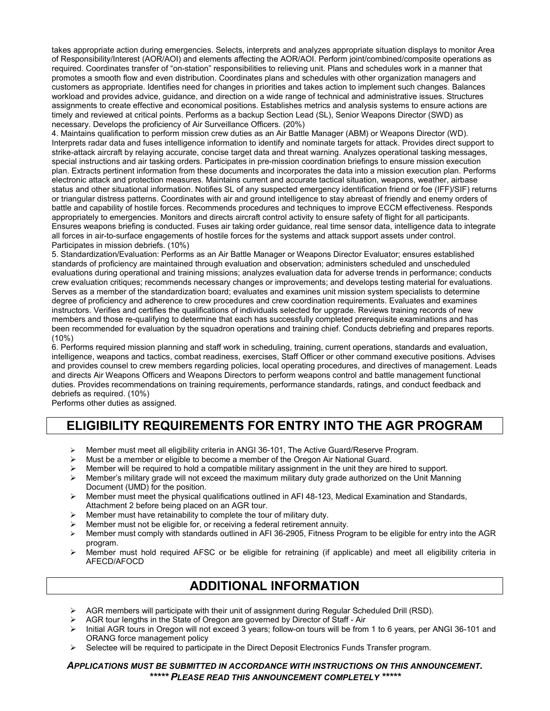takes appropriate action during emergencies. Selects, interprets and analyzes appropriate situation displays to monitor Area of Responsibility/Interest (AOR/AOI) and elements affecting the AOR/AOI. Perform joint/combined/composite operations as required. Coordinates transfer of "on-station" responsibilities to relieving unit. Plans and schedules work in a manner that promotes a smooth flow and even distribution. Coordinates plans and schedules with other organization managers and customers as appropriate. Identifies need for changes in priorities and takes action to implement such changes. Balances workload and provides advice, guidance, and direction on a wide range of technical and administrative issues. Structures assignments to create effective and economical positions. Establishes metrics and analysis systems to ensure actions are timely and reviewed at critical points. Performs as a backup Section Lead (SL), Senior Weapons Director (SWD) as necessary. Develops the proficiency of Air Surveillance Officers. (20%)

4. Maintains qualification to perform mission crew duties as an Air Battle Manager (ABM) or Weapons Director (WD). Interprets radar data and fuses intelligence information to identify and nominate targets for attack. Provides direct support to strike-attack aircraft by relaying accurate, concise target data and threat warning. Analyzes operational tasking messages, special instructions and air tasking orders. Participates in pre-mission coordination briefings to ensure mission execution plan. Extracts pertinent information from these documents and incorporates the data into a mission execution plan. Performs electronic attack and protection measures. Maintains current and accurate tactical situation, weapons, weather, airbase status and other situational information. Notifies SL of any suspected emergency identification friend or foe (IFF)/SIF) returns or triangular distress patterns. Coordinates with air and ground intelligence to stay abreast of friendly and enemy orders of battle and capability of hostile forces. Recommends procedures and techniques to improve ECCM effectiveness. Responds appropriately to emergencies. Monitors and directs aircraft control activity to ensure safety of flight for all participants. Ensures weapons briefing is conducted. Fuses air taking order guidance, real time sensor data, intelligence data to integrate all forces in air-to-surface engagements of hostile forces for the systems and attack support assets under control. Participates in mission debriefs. (10%)

5. Standardization/Evaluation: Performs as an Air Battle Manager or Weapons Director Evaluator; ensures established standards of proficiency are maintained through evaluation and observation; administers scheduled and unscheduled evaluations during operational and training missions; analyzes evaluation data for adverse trends in performance; conducts crew evaluation critiques; recommends necessary changes or improvements; and develops testing material for evaluations. Serves as a member of the standardization board; evaluates and examines unit mission system specialists to determine degree of proficiency and adherence to crew procedures and crew coordination requirements. Evaluates and examines instructors. Verifies and certifies the qualifications of individuals selected for upgrade. Reviews training records of new members and those re-qualifying to determine that each has successfully completed prerequisite examinations and has been recommended for evaluation by the squadron operations and training chief. Conducts debriefing and prepares reports. (10%)

6. Performs required mission planning and staff work in scheduling, training, current operations, standards and evaluation, intelligence, weapons and tactics, combat readiness, exercises, Staff Officer or other command executive positions. Advises and provides counsel to crew members regarding policies, local operating procedures, and directives of management. Leads and directs Air Weapons Officers and Weapons Directors to perform weapons control and battle management functional duties. Provides recommendations on training requirements, performance standards, ratings, and conduct feedback and debriefs as required. (10%)

Performs other duties as assigned.

### **ELIGIBILITY REQUIREMENTS FOR ENTRY INTO THE AGR PROGRAM**

- Member must meet all eligibility criteria in ANGI 36-101, The Active Guard/Reserve Program.
- $\triangleright$  Must be a member or eligible to become a member of the Oregon Air National Guard.
- Member will be required to hold a compatible military assignment in the unit they are hired to support.<br>Member's military grade will not exceed the maximum military duty grade authorized on the Unit Mann
- Member's military grade will not exceed the maximum military duty grade authorized on the Unit Manning Document (UMD) for the position.
- $\triangleright$  Member must meet the physical qualifications outlined in AFI 48-123, Medical Examination and Standards, Attachment 2 before being placed on an AGR tour.
- $\triangleright$  Member must have retainability to complete the tour of military duty.
- Member must not be eligible for, or receiving a federal retirement annuity.
- Member must comply with standards outlined in AFI 36-2905, Fitness Program to be eligible for entry into the AGR program.
- $\triangleright$  Member must hold required AFSC or be eligible for retraining (if applicable) and meet all eligibility criteria in AFECD/AFOCD

#### **ADDITIONAL INFORMATION**

- $\triangleright$  AGR members will participate with their unit of assignment during Regular Scheduled Drill (RSD).
- AGR tour lengths in the State of Oregon are governed by Director of Staff Air
- $\triangleright$  Initial AGR tours in Oregon will not exceed 3 years; follow-on tours will be from 1 to 6 years, per ANGI 36-101 and ORANG force management policy
- $\triangleright$  Selectee will be required to participate in the Direct Deposit Electronics Funds Transfer program.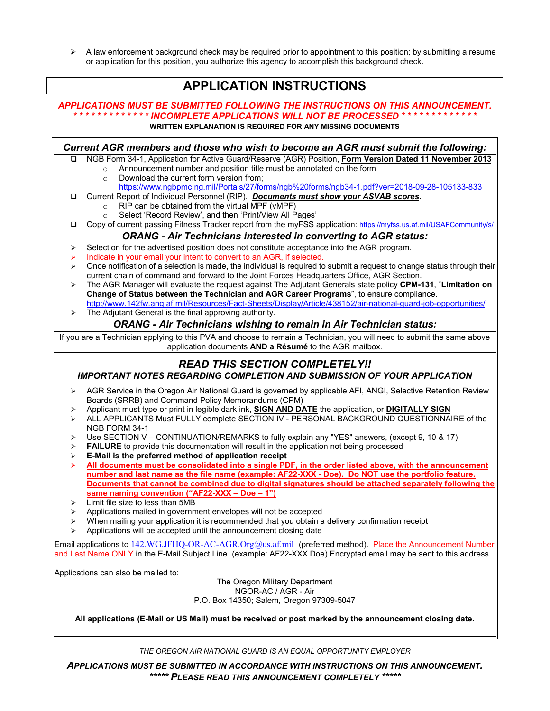$\triangleright$  A law enforcement background check may be required prior to appointment to this position; by submitting a resume or application for this position, you authorize this agency to accomplish this background check.

#### **APPLICATION INSTRUCTIONS**

#### *APPLICATIONS MUST BE SUBMITTED FOLLOWING THE INSTRUCTIONS ON THIS ANNOUNCEMENT. \* \* \* \* \* \* \* \* \* \* \* \* \* INCOMPLETE APPLICATIONS WILL NOT BE PROCESSED \* \* \* \* \* \* \* \* \* \* \* \* \** **WRITTEN EXPLANATION IS REQUIRED FOR ANY MISSING DOCUMENTS**

|                                                                                | Current AGR members and those who wish to become an AGR must submit the following:                                                                                                                           |  |  |
|--------------------------------------------------------------------------------|--------------------------------------------------------------------------------------------------------------------------------------------------------------------------------------------------------------|--|--|
| □                                                                              | NGB Form 34-1, Application for Active Guard/Reserve (AGR) Position, Form Version Dated 11 November 2013                                                                                                      |  |  |
|                                                                                | Announcement number and position title must be annotated on the form<br>$\circ$                                                                                                                              |  |  |
|                                                                                | Download the current form version from;<br>$\circ$                                                                                                                                                           |  |  |
|                                                                                | https://www.ngbpmc.ng.mil/Portals/27/forms/ngb%20forms/ngb34-1.pdf?ver=2018-09-28-105133-833                                                                                                                 |  |  |
| ❏                                                                              | Current Report of Individual Personnel (RIP). Documents must show your ASVAB scores.<br>RIP can be obtained from the virtual MPF (vMPF)                                                                      |  |  |
|                                                                                | $\circ$<br>Select 'Record Review', and then 'Print/View All Pages'                                                                                                                                           |  |  |
| o                                                                              | Copy of current passing Fitness Tracker report from the myFSS application: https://myfss.us.af.mil/USAFCommunity/s/                                                                                          |  |  |
| <b>ORANG - Air Technicians interested in converting to AGR status:</b>         |                                                                                                                                                                                                              |  |  |
| ➤                                                                              | Selection for the advertised position does not constitute acceptance into the AGR program.                                                                                                                   |  |  |
| ➤                                                                              | Indicate in your email your intent to convert to an AGR, if selected.                                                                                                                                        |  |  |
| ➤                                                                              | Once notification of a selection is made, the individual is required to submit a request to change status through their                                                                                      |  |  |
|                                                                                | current chain of command and forward to the Joint Forces Headquarters Office, AGR Section.                                                                                                                   |  |  |
| ⋗                                                                              | The AGR Manager will evaluate the request against The Adjutant Generals state policy CPM-131, "Limitation on                                                                                                 |  |  |
|                                                                                | Change of Status between the Technician and AGR Career Programs", to ensure compliance.                                                                                                                      |  |  |
|                                                                                | http://www.142fw.ang.af.mil/Resources/Fact-Sheets/Display/Article/438152/air-national-guard-job-opportunities/                                                                                               |  |  |
|                                                                                | The Adjutant General is the final approving authority.                                                                                                                                                       |  |  |
| <b>ORANG - Air Technicians wishing to remain in Air Technician status:</b>     |                                                                                                                                                                                                              |  |  |
|                                                                                | If you are a Technician applying to this PVA and choose to remain a Technician, you will need to submit the same above<br>application documents AND a Résumé to the AGR mailbox.                             |  |  |
|                                                                                | <b>READ THIS SECTION COMPLETELY!!</b>                                                                                                                                                                        |  |  |
| <b>IMPORTANT NOTES REGARDING COMPLETION AND SUBMISSION OF YOUR APPLICATION</b> |                                                                                                                                                                                                              |  |  |
| ➤                                                                              | AGR Service in the Oregon Air National Guard is governed by applicable AFI, ANGI, Selective Retention Review                                                                                                 |  |  |
|                                                                                | Boards (SRRB) and Command Policy Memorandums (CPM)                                                                                                                                                           |  |  |
| ➤                                                                              | Applicant must type or print in legible dark ink, SIGN AND DATE the application, or DIGITALLY SIGN                                                                                                           |  |  |
| ➤                                                                              | ALL APPLICANTS Must FULLY complete SECTION IV - PERSONAL BACKGROUND QUESTIONNAIRE of the                                                                                                                     |  |  |
|                                                                                | NGB FORM 34-1                                                                                                                                                                                                |  |  |
| ⋗                                                                              | Use SECTION V - CONTINUATION/REMARKS to fully explain any "YES" answers, (except 9, 10 & 17)                                                                                                                 |  |  |
| ⋗                                                                              | <b>FAILURE</b> to provide this documentation will result in the application not being processed                                                                                                              |  |  |
| ⋗                                                                              | E-Mail is the preferred method of application receipt                                                                                                                                                        |  |  |
| ➤                                                                              | All documents must be consolidated into a single PDF, in the order listed above, with the announcement<br>number and last name as the file name (example: AF22-XXX - Doe). Do NOT use the portfolio feature. |  |  |
|                                                                                | Documents that cannot be combined due to digital signatures should be attached separately following the                                                                                                      |  |  |
|                                                                                | same naming convention ("AF22-XXX - Doe - 1")                                                                                                                                                                |  |  |
| ➤                                                                              | Limit file size to less than 5MB                                                                                                                                                                             |  |  |
| ➤                                                                              | Applications mailed in government envelopes will not be accepted                                                                                                                                             |  |  |
| ➤                                                                              | When mailing your application it is recommended that you obtain a delivery confirmation receipt                                                                                                              |  |  |
| ⋗                                                                              | Applications will be accepted until the announcement closing date                                                                                                                                            |  |  |
|                                                                                | Email applications to 142.WG.JFHQ-OR-AC-AGR.Org@us.af.mil (preferred method). Place the Announcement Number                                                                                                  |  |  |
|                                                                                | and Last Name ONLY in the E-Mail Subject Line. (example: AF22-XXX Doe) Encrypted email may be sent to this address.                                                                                          |  |  |
|                                                                                | Applications can also be mailed to:                                                                                                                                                                          |  |  |
|                                                                                | The Oregon Military Department                                                                                                                                                                               |  |  |
|                                                                                | NGOR-AC / AGR - Air                                                                                                                                                                                          |  |  |
| P.O. Box 14350; Salem, Oregon 97309-5047                                       |                                                                                                                                                                                                              |  |  |
|                                                                                | All applications (E-Mail or US Mail) must be received or post marked by the announcement closing date.                                                                                                       |  |  |
|                                                                                |                                                                                                                                                                                                              |  |  |

*THE OREGON AIR NATIONAL GUARD IS AN EQUAL OPPORTUNITY EMPLOYER*